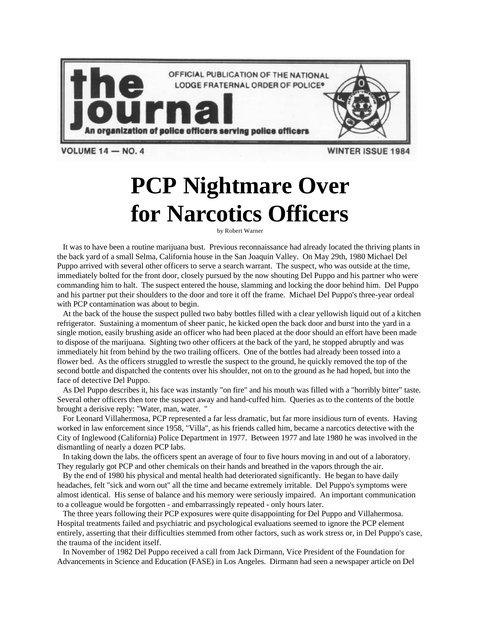

## **PCP Nightmare Over for Narcotics Officers**

by Robert Warner

It was to have been a routine marijuana bust. Previous reconnaissance had already located the thriving plants in the back yard of a small Selma, California house in the San Joaquin Valley. On May 29th, 1980 Michael Del Puppo arrived with several other officers to serve a search warrant. The suspect, who was outside at the time, immediately bolted for the front door, closely pursued by the now shouting Del Puppo and his partner who were commanding him to halt. The suspect entered the house, slamming and locking the door behind him. Del Puppo and his partner put their shoulders to the door and tore it off the frame. Michael Del Puppo's three-year ordeal with PCP contamination was about to begin.

At the back of the house the suspect pulled two baby bottles filled with a clear yellowish liquid out of a kitchen refrigerator. Sustaining a momentum of sheer panic, he kicked open the back door and burst into the yard in a single motion, easily brushing aside an officer who had been placed at the door should an effort have been made to dispose of the marijuana. Sighting two other officers at the back of the yard, he stopped abruptly and was immediately hit from behind by the two trailing officers. One of the bottles had already been tossed into a flower bed. As the officers struggled to wrestle the suspect to the ground, he quickly removed the top of the second bottle and dispatched the contents over his shoulder, not on to the ground as he had hoped, but into the face of detective Del Puppo.

As Del Puppo describes it, his face was instantly "on fire" and his mouth was filled with a "horribly bitter" taste. Several other officers then tore the suspect away and hand-cuffed him. Queries as to the contents of the bottle brought a derisive reply: "Water, man, water. "

For Leonard Villahermosa, PCP represented a far less dramatic, but far more insidious turn of events. Having worked in law enforcement since 1958, "Villa", as his friends called him, became a narcotics detective with the City of Inglewood (California) Police Department in 1977. Between 1977 and late 1980 he was involved in the dismantling of nearly a dozen PCP labs.

In taking down the labs. the officers spent an average of four to five hours moving in and out of a laboratory. They regularly got PCP and other chemicals on their hands and breathed in the vapors through the air.

By the end of 1980 his physical and mental health had deteriorated significantly. He began to have daily headaches, felt "sick and worn out" all the time and became extremely irritable. Del Puppo's symptoms were almost identical. His sense of balance and his memory were seriously impaired. An important communication to a colleague would be forgotten - and embarrassingly repeated - only hours later.

The three years following their PCP exposures were quite disappointing for Del Puppo and Villahermosa. Hospital treatments failed and psychiatric and psychological evaluations seemed to ignore the PCP element entirely, asserting that their difficulties stemmed from other factors, such as work stress or, in Del Puppo's case, the trauma of the incident itself.

In November of 1982 Del Puppo received a call from Jack Dirmann, Vice President of the Foundation for Advancements in Science and Education (FASE) in Los Angeles. Dirmann had seen a newspaper article on Del